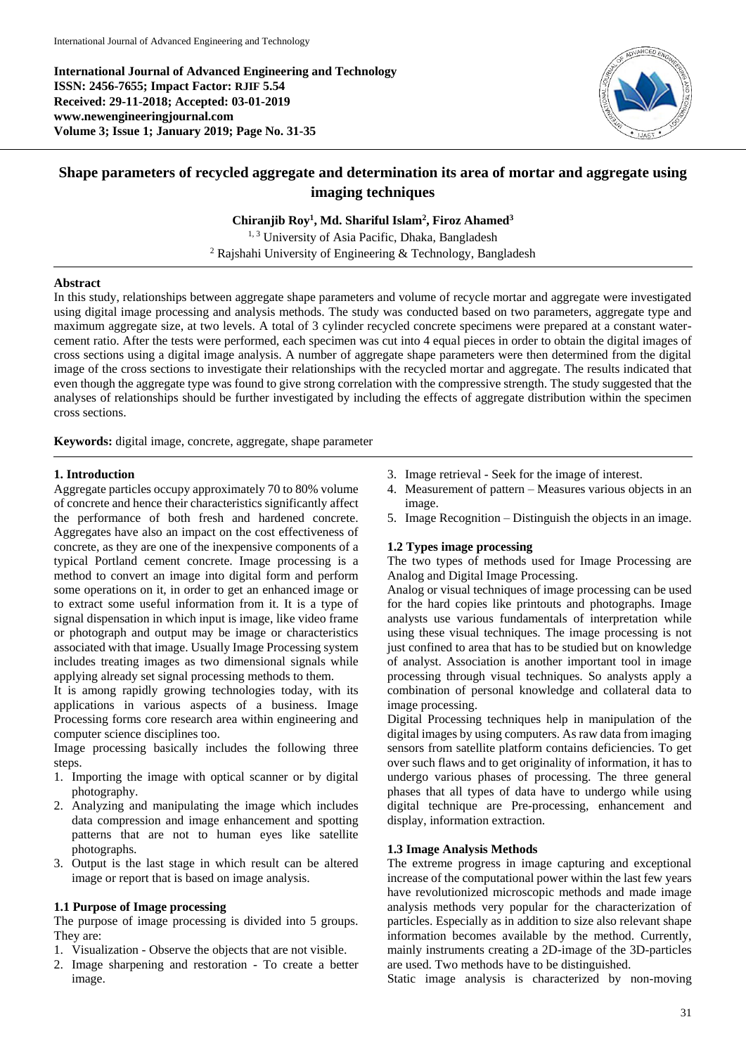**International Journal of Advanced Engineering and Technology ISSN: 2456-7655; Impact Factor: RJIF 5.54 Received: 29-11-2018; Accepted: 03-01-2019 www.newengineeringjournal.com Volume 3; Issue 1; January 2019; Page No. 31-35**



# **Shape parameters of recycled aggregate and determination its area of mortar and aggregate using imaging techniques**

**Chiranjib Roy<sup>1</sup> , Md. Shariful Islam<sup>2</sup> , Firoz Ahamed<sup>3</sup>**

<sup>1, 3</sup> University of Asia Pacific, Dhaka, Bangladesh <sup>2</sup> Rajshahi University of Engineering & Technology, Bangladesh

### **Abstract**

In this study, relationships between aggregate shape parameters and volume of recycle mortar and aggregate were investigated using digital image processing and analysis methods. The study was conducted based on two parameters, aggregate type and maximum aggregate size, at two levels. A total of 3 cylinder recycled concrete specimens were prepared at a constant watercement ratio. After the tests were performed, each specimen was cut into 4 equal pieces in order to obtain the digital images of cross sections using a digital image analysis. A number of aggregate shape parameters were then determined from the digital image of the cross sections to investigate their relationships with the recycled mortar and aggregate. The results indicated that even though the aggregate type was found to give strong correlation with the compressive strength. The study suggested that the analyses of relationships should be further investigated by including the effects of aggregate distribution within the specimen cross sections.

**Keywords:** digital image, concrete, aggregate, shape parameter

### **1. Introduction**

Aggregate particles occupy approximately 70 to 80% volume of concrete and hence their characteristics significantly affect the performance of both fresh and hardened concrete. Aggregates have also an impact on the cost effectiveness of concrete, as they are one of the inexpensive components of a typical Portland cement concrete. Image processing is a method to convert an image into digital form and perform some operations on it, in order to get an enhanced image or to extract some useful information from it. It is a type of signal dispensation in which input is image, like video frame or photograph and output may be image or characteristics associated with that image. Usually Image Processing system includes treating images as two dimensional signals while applying already set signal processing methods to them.

It is among rapidly growing technologies today, with its applications in various aspects of a business. Image Processing forms core research area within engineering and computer science disciplines too.

Image processing basically includes the following three steps.

- 1. Importing the image with optical scanner or by digital photography.
- 2. Analyzing and manipulating the image which includes data compression and image enhancement and spotting patterns that are not to human eyes like satellite photographs.
- 3. Output is the last stage in which result can be altered image or report that is based on image analysis.

### **1.1 Purpose of Image processing**

The purpose of image processing is divided into 5 groups. They are:

- 1. Visualization Observe the objects that are not visible.
- 2. Image sharpening and restoration To create a better image.
- 3. Image retrieval Seek for the image of interest.
- 4. Measurement of pattern Measures various objects in an image.
- 5. Image Recognition Distinguish the objects in an image.

## **1.2 Types image processing**

The two types of methods used for Image Processing are Analog and Digital Image Processing.

Analog or visual techniques of image processing can be used for the hard copies like printouts and photographs. Image analysts use various fundamentals of interpretation while using these visual techniques. The image processing is not just confined to area that has to be studied but on knowledge of analyst. Association is another important tool in image processing through visual techniques. So analysts apply a combination of personal knowledge and collateral data to image processing.

Digital Processing techniques help in manipulation of the digital images by using computers. As raw data from imaging sensors from satellite platform contains deficiencies. To get over such flaws and to get originality of information, it has to undergo various phases of processing. The three general phases that all types of data have to undergo while using digital technique are Pre-processing, enhancement and display, information extraction.

### **1.3 Image Analysis Methods**

The extreme progress in image capturing and exceptional increase of the computational power within the last few years have revolutionized microscopic methods and made image analysis methods very popular for the characterization of particles. Especially as in addition to size also relevant shape information becomes available by the method. Currently, mainly instruments creating a 2D-image of the 3D-particles are used. Two methods have to be distinguished.

Static image analysis is characterized by non-moving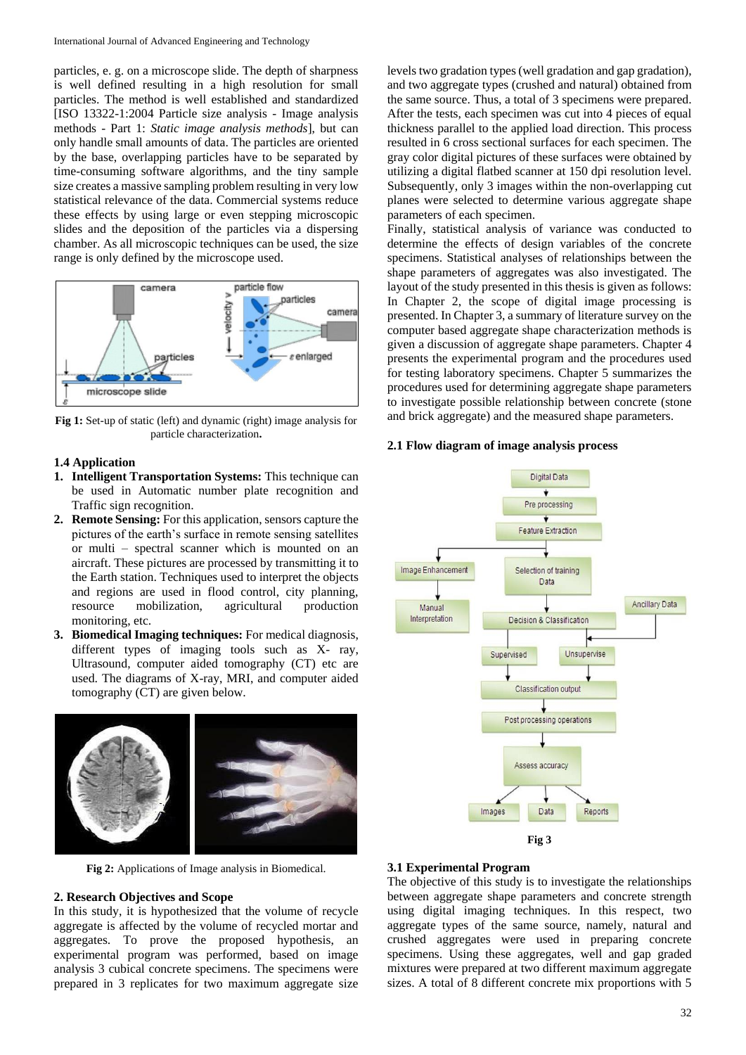particles, e. g. on a microscope slide. The depth of sharpness is well defined resulting in a high resolution for small particles. The method is well established and standardized [ISO 13322-1:2004 Particle size analysis - Image analysis methods - Part 1: *Static image analysis methods*], but can only handle small amounts of data. The particles are oriented by the base, overlapping particles have to be separated by time-consuming software algorithms, and the tiny sample size creates a massive sampling problem resulting in very low statistical relevance of the data. Commercial systems reduce these effects by using large or even stepping microscopic slides and the deposition of the particles via a dispersing chamber. As all microscopic techniques can be used, the size range is only defined by the microscope used.



**Fig 1:** Set-up of static (left) and dynamic (right) image analysis for particle characterization**.**

### **1.4 Application**

- **1. Intelligent Transportation Systems:** This technique can be used in Automatic number plate recognition and Traffic sign recognition.
- **2. Remote Sensing:** For this application, sensors capture the pictures of the earth's surface in remote sensing satellites or multi – spectral scanner which is mounted on an aircraft. These pictures are processed by transmitting it to the Earth station. Techniques used to interpret the objects and regions are used in flood control, city planning, resource mobilization, agricultural production monitoring, etc.
- **3. Biomedical Imaging techniques:** For medical diagnosis, different types of imaging tools such as X- ray, Ultrasound, computer aided tomography (CT) etc are used. The diagrams of X-ray, MRI, and computer aided tomography (CT) are given below.



**Fig 2:** Applications of Image analysis in Biomedical.

### **2. Research Objectives and Scope**

In this study, it is hypothesized that the volume of recycle aggregate is affected by the volume of recycled mortar and aggregates. To prove the proposed hypothesis, an experimental program was performed, based on image analysis 3 cubical concrete specimens. The specimens were prepared in 3 replicates for two maximum aggregate size

levels two gradation types (well gradation and gap gradation), and two aggregate types (crushed and natural) obtained from the same source. Thus, a total of 3 specimens were prepared. After the tests, each specimen was cut into 4 pieces of equal thickness parallel to the applied load direction. This process resulted in 6 cross sectional surfaces for each specimen. The gray color digital pictures of these surfaces were obtained by utilizing a digital flatbed scanner at 150 dpi resolution level. Subsequently, only 3 images within the non-overlapping cut planes were selected to determine various aggregate shape parameters of each specimen.

Finally, statistical analysis of variance was conducted to determine the effects of design variables of the concrete specimens. Statistical analyses of relationships between the shape parameters of aggregates was also investigated. The layout of the study presented in this thesis is given as follows: In Chapter 2, the scope of digital image processing is presented. In Chapter 3, a summary of literature survey on the computer based aggregate shape characterization methods is given a discussion of aggregate shape parameters. Chapter 4 presents the experimental program and the procedures used for testing laboratory specimens. Chapter 5 summarizes the procedures used for determining aggregate shape parameters to investigate possible relationship between concrete (stone and brick aggregate) and the measured shape parameters.

## **2.1 Flow diagram of image analysis process**



# **3.1 Experimental Program**

The objective of this study is to investigate the relationships between aggregate shape parameters and concrete strength using digital imaging techniques. In this respect, two aggregate types of the same source, namely, natural and crushed aggregates were used in preparing concrete specimens. Using these aggregates, well and gap graded mixtures were prepared at two different maximum aggregate sizes. A total of 8 different concrete mix proportions with 5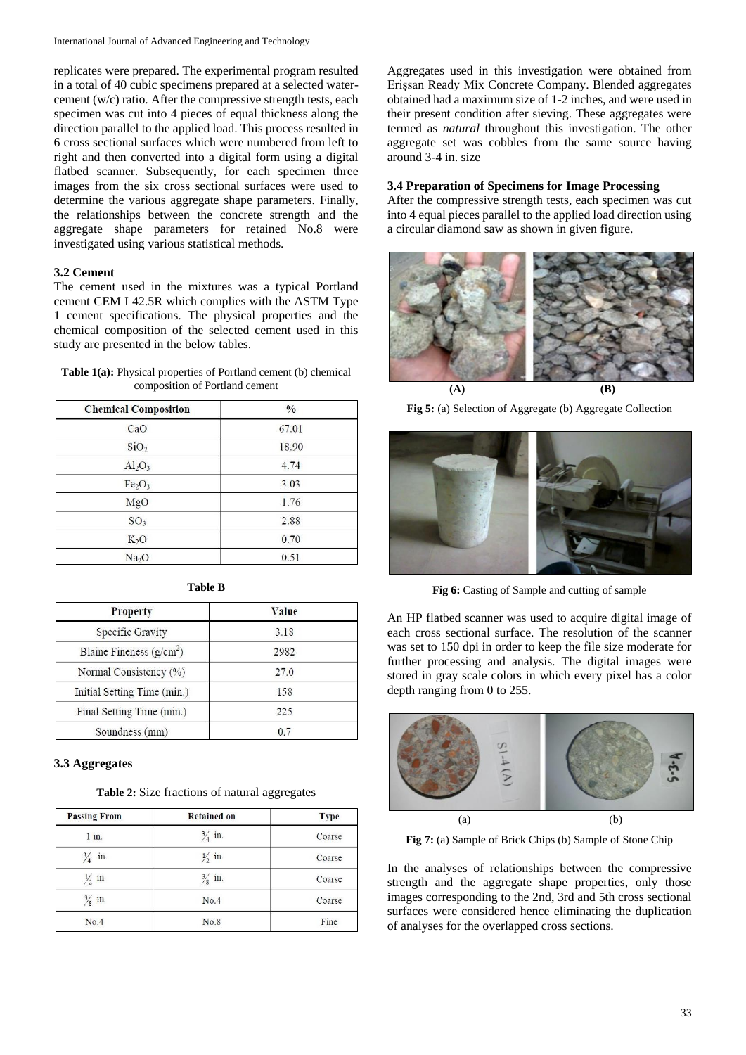replicates were prepared. The experimental program resulted in a total of 40 cubic specimens prepared at a selected watercement (w/c) ratio. After the compressive strength tests, each specimen was cut into 4 pieces of equal thickness along the direction parallel to the applied load. This process resulted in 6 cross sectional surfaces which were numbered from left to right and then converted into a digital form using a digital flatbed scanner. Subsequently, for each specimen three images from the six cross sectional surfaces were used to determine the various aggregate shape parameters. Finally, the relationships between the concrete strength and the aggregate shape parameters for retained No.8 were investigated using various statistical methods.

# **3.2 Cement**

The cement used in the mixtures was a typical Portland cement CEM I 42.5R which complies with the ASTM Type 1 cement specifications. The physical properties and the chemical composition of the selected cement used in this study are presented in the below tables.

**Table 1(a):** Physical properties of Portland cement (b) chemical composition of Portland cement

| <b>Chemical Composition</b>    | $\frac{0}{0}$ |
|--------------------------------|---------------|
| CaO                            | 67.01         |
| SiO <sub>2</sub>               | 18.90         |
| Al <sub>2</sub> O <sub>3</sub> | 4.74          |
| Fe <sub>2</sub> O <sub>3</sub> | 3.03          |
| MgO                            | 1.76          |
| SO <sub>3</sub>                | 2.88          |
| $K_2O$                         | 0.70          |
| Na <sub>2</sub> O              | 0.51          |

| <b>Property</b>             | Value |
|-----------------------------|-------|
| Specific Gravity            | 3.18  |
| Blaine Fineness $(g/cm2)$   | 2982  |
| Normal Consistency (%)      | 27.0  |
| Initial Setting Time (min.) | 158   |
| Final Setting Time (min.)   | 225   |
| Soundness (mm)              | 07    |

### **Table B**

# **3.3 Aggregates**

**Table 2:** Size fractions of natural aggregates

| <b>Passing From</b> | <b>Retained on</b> | <b>Type</b> |
|---------------------|--------------------|-------------|
| $1$ in.             | $\frac{3}{4}$ in.  | Coarse      |
| $\frac{3}{4}$ in.   | $\frac{1}{2}$ in.  | Coarse      |
| $\frac{1}{2}$ in.   | $\frac{3}{8}$ in.  | Coarse      |
| $\frac{3}{8}$ in.   | No.4               | Coarse      |
| No.4                | No.8               | Fine        |

Aggregates used in this investigation were obtained from Erişsan Ready Mix Concrete Company. Blended aggregates obtained had a maximum size of 1-2 inches, and were used in their present condition after sieving. These aggregates were termed as *natural* throughout this investigation. The other aggregate set was cobbles from the same source having around 3-4 in. size

# **3.4 Preparation of Specimens for Image Processing**

After the compressive strength tests, each specimen was cut into 4 equal pieces parallel to the applied load direction using a circular diamond saw as shown in given figure.



**Fig 5:** (a) Selection of Aggregate (b) Aggregate Collection



**Fig 6:** Casting of Sample and cutting of sample

An HP flatbed scanner was used to acquire digital image of each cross sectional surface. The resolution of the scanner was set to 150 dpi in order to keep the file size moderate for further processing and analysis. The digital images were stored in gray scale colors in which every pixel has a color depth ranging from 0 to 255.



**Fig 7:** (a) Sample of Brick Chips (b) Sample of Stone Chip

In the analyses of relationships between the compressive strength and the aggregate shape properties, only those images corresponding to the 2nd, 3rd and 5th cross sectional surfaces were considered hence eliminating the duplication of analyses for the overlapped cross sections.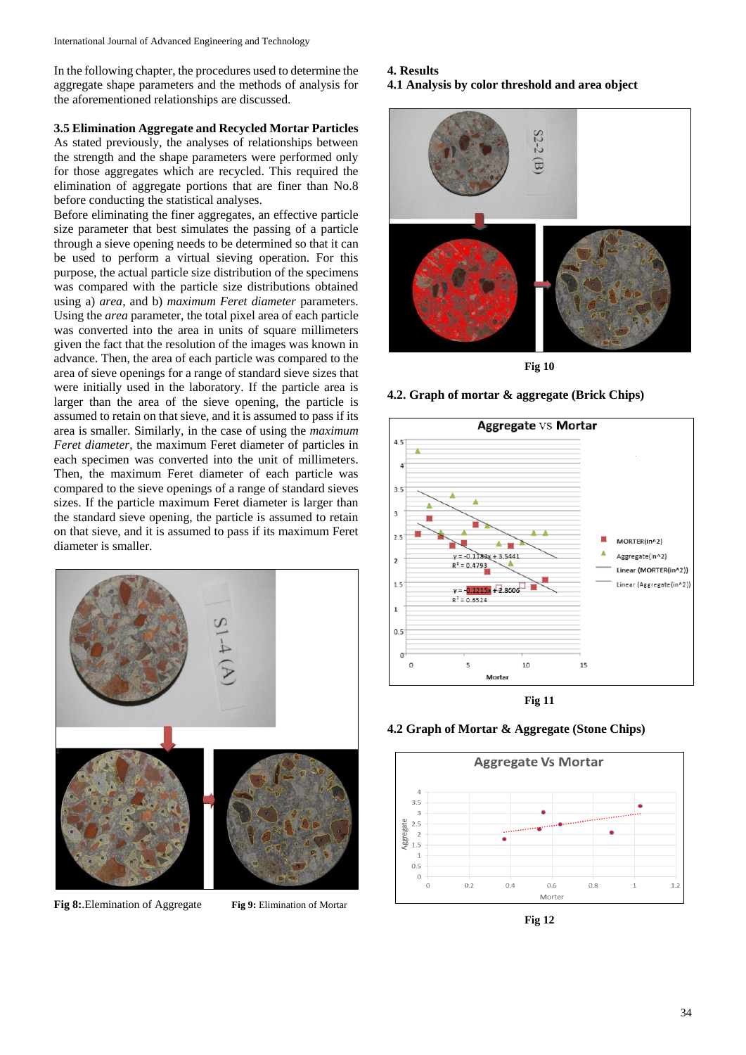In the following chapter, the procedures used to determine the aggregate shape parameters and the methods of analysis for the aforementioned relationships are discussed.

# **3.5 Elimination Aggregate and Recycled Mortar Particles**

As stated previously, the analyses of relationships between the strength and the shape parameters were performed only for those aggregates which are recycled. This required the elimination of aggregate portions that are finer than No.8 before conducting the statistical analyses.

Before eliminating the finer aggregates, an effective particle size parameter that best simulates the passing of a particle through a sieve opening needs to be determined so that it can be used to perform a virtual sieving operation. For this purpose, the actual particle size distribution of the specimens was compared with the particle size distributions obtained using a) *area*, and b) *maximum Feret diameter* parameters. Using the *area* parameter, the total pixel area of each particle was converted into the area in units of square millimeters given the fact that the resolution of the images was known in advance. Then, the area of each particle was compared to the area of sieve openings for a range of standard sieve sizes that were initially used in the laboratory. If the particle area is larger than the area of the sieve opening, the particle is assumed to retain on that sieve, and it is assumed to pass if its area is smaller. Similarly, in the case of using the *maximum Feret diameter*, the maximum Feret diameter of particles in each specimen was converted into the unit of millimeters. Then, the maximum Feret diameter of each particle was compared to the sieve openings of a range of standard sieves sizes. If the particle maximum Feret diameter is larger than the standard sieve opening, the particle is assumed to retain on that sieve, and it is assumed to pass if its maximum Feret diameter is smaller.



**Fig 8:**.Elemination of Aggregate **Fig 9:** Elimination of Mortar

# **4. Results**

**4.1 Analysis by color threshold and area object**



**Fig 10**

# **4.2. Graph of mortar & aggregate (Brick Chips)**





## **4.2 Graph of Mortar & Aggregate (Stone Chips)**



**Fig 12**